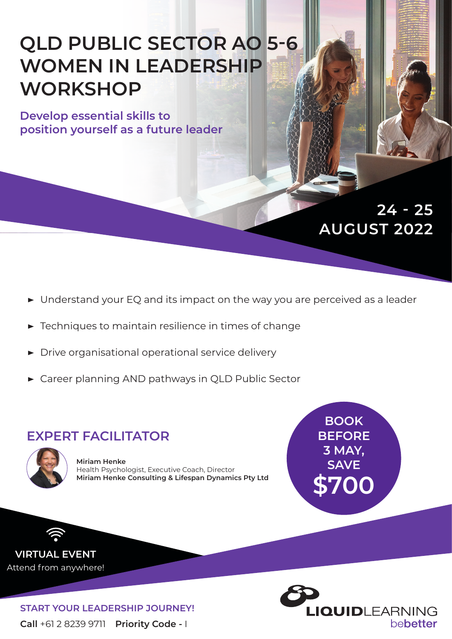# **QLD PUBLIC SECTOR AO 5-6 WOMEN IN LEADERSHIP WORKSHOP**

**Develop essential skills to position yourself as a future leader**

# **AUGUST 2022 24 - 25**

- **▶** Understand your EQ and its impact on the way you are perceived as a leader
- **▶** Techniques to maintain resilience in times of change
- **▶** Drive organisational operational service delivery
- **▶** Career planning AND pathways in QLD Public Sector

### **EXPERT FACILITATOR**



**Miriam Henke** Health Psychologist, Executive Coach, Director **Miriam Henke Consulting & Lifespan Dynamics Pty Ltd**

**BOOK BEFORE 3 MAY, SAVE \$700**

**VIRTUAL EVENT** Attend from anywhere!

> **Call** +61 2 8239 9711 **Priority Code -** I **START YOUR LEADERSHIP JOURNEY!**

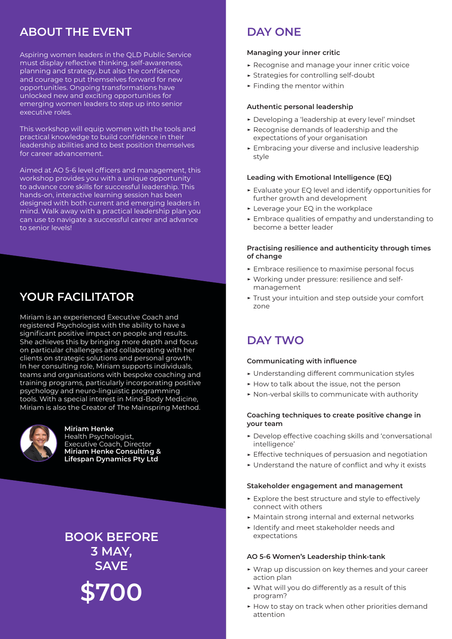### **ABOUT THE EVENT**

Aspiring women leaders in the QLD Public Service must display reflective thinking, self-awareness, planning and strategy, but also the confidence and courage to put themselves forward for new opportunities. Ongoing transformations have unlocked new and exciting opportunities for emerging women leaders to step up into senior executive roles.

This workshop will equip women with the tools and practical knowledge to build confidence in their leadership abilities and to best position themselves for career advancement.

Aimed at AO 5-6 level officers and management, this workshop provides you with a unique opportunity to advance core skills for successful leadership. This hands-on, interactive learning session has been designed with both current and emerging leaders in mind. Walk away with a practical leadership plan you can use to navigate a successful career and advance to senior levels!

## **YOUR FACILITATOR**

Miriam is an experienced Executive Coach and registered Psychologist with the ability to have a significant positive impact on people and results. She achieves this by bringing more depth and focus on particular challenges and collaborating with her clients on strategic solutions and personal growth. In her consulting role, Miriam supports individuals, teams and organisations with bespoke coaching and training programs, particularly incorporating positive psychology and neuro-linguistic programming tools. With a special interest in Mind-Body Medicine, Miriam is also the Creator of The Mainspring Method.



### **Miriam Henke**

Health Psychologist, Executive Coach, Director **Miriam Henke Consulting & Lifespan Dynamics Pty Ltd**

**BOOK BEFORE 3 MAY, SAVE \$700**

### **DAY ONE**

### **Managing your inner critic**

- **▶** Recognise and manage your inner critic voice
- **▶** Strategies for controlling self-doubt
- **▶** Finding the mentor within

### **Authentic personal leadership**

- **▶** Developing a 'leadership at every level' mindset
- **▶** Recognise demands of leadership and the expectations of your organisation
- **▶** Embracing your diverse and inclusive leadership style

### **Leading with Emotional Intelligence (EQ)**

- **▶** Evaluate your EQ level and identify opportunities for further growth and development
- **▶** Leverage your EQ in the workplace
- **▶** Embrace qualities of empathy and understanding to become a better leader

#### **Practising resilience and authenticity through times of change**

- **▶** Embrace resilience to maximise personal focus
- **▶** Working under pressure: resilience and selfmanagement
- **▶** Trust your intuition and step outside your comfort zone

### **DAY TWO**

### **Communicating with influence**

- **▶** Understanding different communication styles
- **▶** How to talk about the issue, not the person
- **▶** Non-verbal skills to communicate with authority

### **Coaching techniques to create positive change in your team**

- **▶** Develop effective coaching skills and 'conversational intelligence'
- **▶** Effective techniques of persuasion and negotiation
- **▶** Understand the nature of conflict and why it exists

#### **Stakeholder engagement and management**

- **▶** Explore the best structure and style to effectively connect with others
- **▶** Maintain strong internal and external networks
- **▶** Identify and meet stakeholder needs and expectations

#### **AO 5-6 Women's Leadership think-tank**

- **▶** Wrap up discussion on key themes and your career action plan
- **▶** What will you do differently as a result of this program?
- **▶** How to stay on track when other priorities demand attention